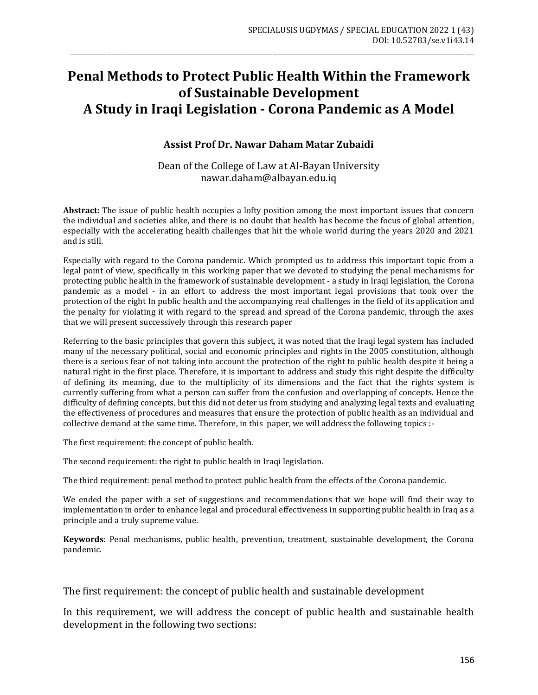# **Penal Methods to Protect Public Health Within the Framework of Sustainable Development A Study in Iraqi Legislation - Corona Pandemic as A Model**

\_\_\_\_\_\_\_\_\_\_\_\_\_\_\_\_\_\_\_\_\_\_\_\_\_\_\_\_\_\_\_\_\_\_\_\_\_\_\_\_\_\_\_\_\_\_\_\_\_\_\_\_\_\_\_\_\_\_\_\_\_\_\_\_\_\_\_\_\_\_\_\_\_\_\_\_\_\_\_\_\_\_\_\_\_\_\_\_\_\_\_\_\_\_\_\_\_\_\_\_\_\_\_\_\_\_\_\_\_\_\_\_\_\_\_\_\_\_\_\_\_\_\_\_

#### **Assist Prof Dr. Nawar Daham Matar Zubaidi**

Dean of the College of Law at Al-Bayan University nawar.daham@albayan.edu.iq

**Abstract:** The issue of public health occupies a lofty position among the most important issues that concern the individual and societies alike, and there is no doubt that health has become the focus of global attention, especially with the accelerating health challenges that hit the whole world during the years 2020 and 2021 and is still.

Especially with regard to the Corona pandemic. Which prompted us to address this important topic from a legal point of view, specifically in this working paper that we devoted to studying the penal mechanisms for protecting public health in the framework of sustainable development - a study in Iraqi legislation, the Corona pandemic as a model - in an effort to address the most important legal provisions that took over the protection of the right In public health and the accompanying real challenges in the field of its application and the penalty for violating it with regard to the spread and spread of the Corona pandemic, through the axes that we will present successively through this research paper

Referring to the basic principles that govern this subject, it was noted that the Iraqi legal system has included many of the necessary political, social and economic principles and rights in the 2005 constitution, although there is a serious fear of not taking into account the protection of the right to public health despite it being a natural right in the first place. Therefore, it is important to address and study this right despite the difficulty of defining its meaning, due to the multiplicity of its dimensions and the fact that the rights system is currently suffering from what a person can suffer from the confusion and overlapping of concepts. Hence the difficulty of defining concepts, but this did not deter us from studying and analyzing legal texts and evaluating the effectiveness of procedures and measures that ensure the protection of public health as an individual and collective demand at the same time. Therefore, in this paper, we will address the following topics :-

The first requirement: the concept of public health.

The second requirement: the right to public health in Iraqi legislation.

The third requirement: penal method to protect public health from the effects of the Corona pandemic.

We ended the paper with a set of suggestions and recommendations that we hope will find their way to implementation in order to enhance legal and procedural effectiveness in supporting public health in Iraq as a principle and a truly supreme value.

**Keywords**: Penal mechanisms, public health, prevention, treatment, sustainable development, the Corona pandemic.

The first requirement: the concept of public health and sustainable development

In this requirement, we will address the concept of public health and sustainable health development in the following two sections: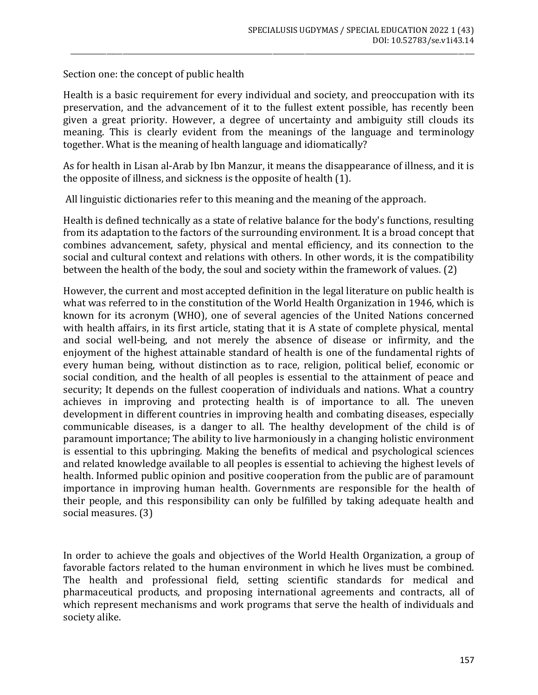Section one: the concept of public health

Health is a basic requirement for every individual and society, and preoccupation with its preservation, and the advancement of it to the fullest extent possible, has recently been given a great priority. However, a degree of uncertainty and ambiguity still clouds its meaning. This is clearly evident from the meanings of the language and terminology together. What is the meaning of health language and idiomatically?

\_\_\_\_\_\_\_\_\_\_\_\_\_\_\_\_\_\_\_\_\_\_\_\_\_\_\_\_\_\_\_\_\_\_\_\_\_\_\_\_\_\_\_\_\_\_\_\_\_\_\_\_\_\_\_\_\_\_\_\_\_\_\_\_\_\_\_\_\_\_\_\_\_\_\_\_\_\_\_\_\_\_\_\_\_\_\_\_\_\_\_\_\_\_\_\_\_\_\_\_\_\_\_\_\_\_\_\_\_\_\_\_\_\_\_\_\_\_\_\_\_\_\_\_

As for health in Lisan al-Arab by Ibn Manzur, it means the disappearance of illness, and it is the opposite of illness, and sickness is the opposite of health (1).

All linguistic dictionaries refer to this meaning and the meaning of the approach.

Health is defined technically as a state of relative balance for the body's functions, resulting from its adaptation to the factors of the surrounding environment. It is a broad concept that combines advancement, safety, physical and mental efficiency, and its connection to the social and cultural context and relations with others. In other words, it is the compatibility between the health of the body, the soul and society within the framework of values. (2)

However, the current and most accepted definition in the legal literature on public health is what was referred to in the constitution of the World Health Organization in 1946, which is known for its acronym (WHO), one of several agencies of the United Nations concerned with health affairs, in its first article, stating that it is A state of complete physical, mental and social well-being, and not merely the absence of disease or infirmity, and the enjoyment of the highest attainable standard of health is one of the fundamental rights of every human being, without distinction as to race, religion, political belief, economic or social condition, and the health of all peoples is essential to the attainment of peace and security; It depends on the fullest cooperation of individuals and nations. What a country achieves in improving and protecting health is of importance to all. The uneven development in different countries in improving health and combating diseases, especially communicable diseases, is a danger to all. The healthy development of the child is of paramount importance; The ability to live harmoniously in a changing holistic environment is essential to this upbringing. Making the benefits of medical and psychological sciences and related knowledge available to all peoples is essential to achieving the highest levels of health. Informed public opinion and positive cooperation from the public are of paramount importance in improving human health. Governments are responsible for the health of their people, and this responsibility can only be fulfilled by taking adequate health and social measures. (3)

In order to achieve the goals and objectives of the World Health Organization, a group of favorable factors related to the human environment in which he lives must be combined. The health and professional field, setting scientific standards for medical and pharmaceutical products, and proposing international agreements and contracts, all of which represent mechanisms and work programs that serve the health of individuals and society alike.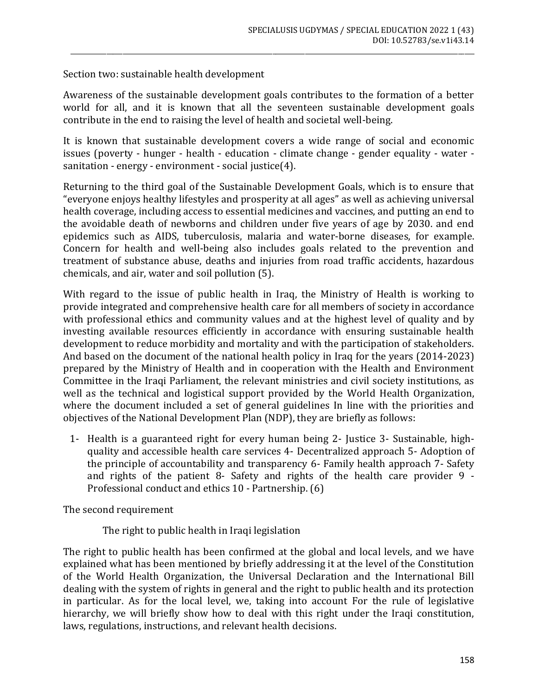Section two: sustainable health development

Awareness of the sustainable development goals contributes to the formation of a better world for all, and it is known that all the seventeen sustainable development goals contribute in the end to raising the level of health and societal well-being.

\_\_\_\_\_\_\_\_\_\_\_\_\_\_\_\_\_\_\_\_\_\_\_\_\_\_\_\_\_\_\_\_\_\_\_\_\_\_\_\_\_\_\_\_\_\_\_\_\_\_\_\_\_\_\_\_\_\_\_\_\_\_\_\_\_\_\_\_\_\_\_\_\_\_\_\_\_\_\_\_\_\_\_\_\_\_\_\_\_\_\_\_\_\_\_\_\_\_\_\_\_\_\_\_\_\_\_\_\_\_\_\_\_\_\_\_\_\_\_\_\_\_\_\_

It is known that sustainable development covers a wide range of social and economic issues (poverty - hunger - health - education - climate change - gender equality - water sanitation - energy - environment - social justice(4).

Returning to the third goal of the Sustainable Development Goals, which is to ensure that "everyone enjoys healthy lifestyles and prosperity at all ages" as well as achieving universal health coverage, including access to essential medicines and vaccines, and putting an end to the avoidable death of newborns and children under five years of age by 2030. and end epidemics such as AIDS, tuberculosis, malaria and water-borne diseases, for example. Concern for health and well-being also includes goals related to the prevention and treatment of substance abuse, deaths and injuries from road traffic accidents, hazardous chemicals, and air, water and soil pollution (5).

With regard to the issue of public health in Iraq, the Ministry of Health is working to provide integrated and comprehensive health care for all members of society in accordance with professional ethics and community values and at the highest level of quality and by investing available resources efficiently in accordance with ensuring sustainable health development to reduce morbidity and mortality and with the participation of stakeholders. And based on the document of the national health policy in Iraq for the years (2014-2023) prepared by the Ministry of Health and in cooperation with the Health and Environment Committee in the Iraqi Parliament, the relevant ministries and civil society institutions, as well as the technical and logistical support provided by the World Health Organization, where the document included a set of general guidelines In line with the priorities and objectives of the National Development Plan (NDP), they are briefly as follows:

1- Health is a guaranteed right for every human being 2- Justice 3- Sustainable, highquality and accessible health care services 4- Decentralized approach 5- Adoption of the principle of accountability and transparency 6- Family health approach 7- Safety and rights of the patient 8- Safety and rights of the health care provider 9 - Professional conduct and ethics 10 - Partnership. (6)

The second requirement

The right to public health in Iraqi legislation

The right to public health has been confirmed at the global and local levels, and we have explained what has been mentioned by briefly addressing it at the level of the Constitution of the World Health Organization, the Universal Declaration and the International Bill dealing with the system of rights in general and the right to public health and its protection in particular. As for the local level, we, taking into account For the rule of legislative hierarchy, we will briefly show how to deal with this right under the Iraqi constitution, laws, regulations, instructions, and relevant health decisions.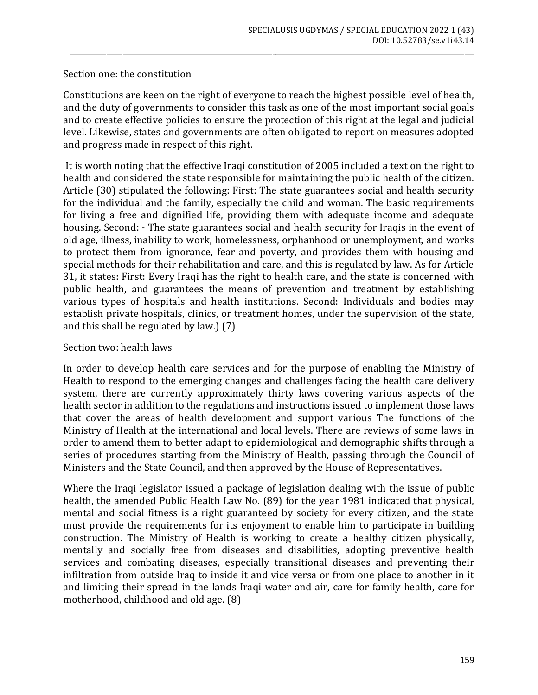## Section one: the constitution

Constitutions are keen on the right of everyone to reach the highest possible level of health, and the duty of governments to consider this task as one of the most important social goals and to create effective policies to ensure the protection of this right at the legal and judicial level. Likewise, states and governments are often obligated to report on measures adopted and progress made in respect of this right.

\_\_\_\_\_\_\_\_\_\_\_\_\_\_\_\_\_\_\_\_\_\_\_\_\_\_\_\_\_\_\_\_\_\_\_\_\_\_\_\_\_\_\_\_\_\_\_\_\_\_\_\_\_\_\_\_\_\_\_\_\_\_\_\_\_\_\_\_\_\_\_\_\_\_\_\_\_\_\_\_\_\_\_\_\_\_\_\_\_\_\_\_\_\_\_\_\_\_\_\_\_\_\_\_\_\_\_\_\_\_\_\_\_\_\_\_\_\_\_\_\_\_\_\_

It is worth noting that the effective Iraqi constitution of 2005 included a text on the right to health and considered the state responsible for maintaining the public health of the citizen. Article (30) stipulated the following: First: The state guarantees social and health security for the individual and the family, especially the child and woman. The basic requirements for living a free and dignified life, providing them with adequate income and adequate housing. Second: - The state guarantees social and health security for Iraqis in the event of old age, illness, inability to work, homelessness, orphanhood or unemployment, and works to protect them from ignorance, fear and poverty, and provides them with housing and special methods for their rehabilitation and care, and this is regulated by law. As for Article 31, it states: First: Every Iraqi has the right to health care, and the state is concerned with public health, and guarantees the means of prevention and treatment by establishing various types of hospitals and health institutions. Second: Individuals and bodies may establish private hospitals, clinics, or treatment homes, under the supervision of the state, and this shall be regulated by law.) (7)

## Section two: health laws

In order to develop health care services and for the purpose of enabling the Ministry of Health to respond to the emerging changes and challenges facing the health care delivery system, there are currently approximately thirty laws covering various aspects of the health sector in addition to the regulations and instructions issued to implement those laws that cover the areas of health development and support various The functions of the Ministry of Health at the international and local levels. There are reviews of some laws in order to amend them to better adapt to epidemiological and demographic shifts through a series of procedures starting from the Ministry of Health, passing through the Council of Ministers and the State Council, and then approved by the House of Representatives.

Where the Iraqi legislator issued a package of legislation dealing with the issue of public health, the amended Public Health Law No. (89) for the year 1981 indicated that physical, mental and social fitness is a right guaranteed by society for every citizen, and the state must provide the requirements for its enjoyment to enable him to participate in building construction. The Ministry of Health is working to create a healthy citizen physically, mentally and socially free from diseases and disabilities, adopting preventive health services and combating diseases, especially transitional diseases and preventing their infiltration from outside Iraq to inside it and vice versa or from one place to another in it and limiting their spread in the lands Iraqi water and air, care for family health, care for motherhood, childhood and old age. (8)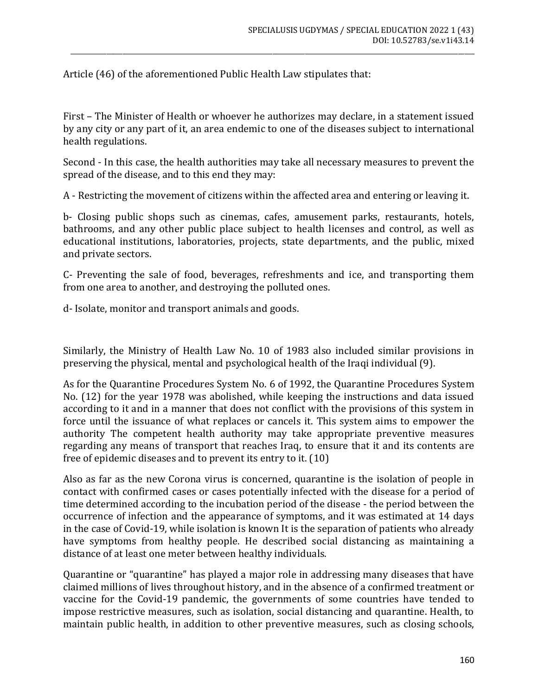Article (46) of the aforementioned Public Health Law stipulates that:

First – The Minister of Health or whoever he authorizes may declare, in a statement issued by any city or any part of it, an area endemic to one of the diseases subject to international health regulations.

\_\_\_\_\_\_\_\_\_\_\_\_\_\_\_\_\_\_\_\_\_\_\_\_\_\_\_\_\_\_\_\_\_\_\_\_\_\_\_\_\_\_\_\_\_\_\_\_\_\_\_\_\_\_\_\_\_\_\_\_\_\_\_\_\_\_\_\_\_\_\_\_\_\_\_\_\_\_\_\_\_\_\_\_\_\_\_\_\_\_\_\_\_\_\_\_\_\_\_\_\_\_\_\_\_\_\_\_\_\_\_\_\_\_\_\_\_\_\_\_\_\_\_\_

Second - In this case, the health authorities may take all necessary measures to prevent the spread of the disease, and to this end they may:

A - Restricting the movement of citizens within the affected area and entering or leaving it.

b- Closing public shops such as cinemas, cafes, amusement parks, restaurants, hotels, bathrooms, and any other public place subject to health licenses and control, as well as educational institutions, laboratories, projects, state departments, and the public, mixed and private sectors.

C- Preventing the sale of food, beverages, refreshments and ice, and transporting them from one area to another, and destroying the polluted ones.

d- Isolate, monitor and transport animals and goods.

Similarly, the Ministry of Health Law No. 10 of 1983 also included similar provisions in preserving the physical, mental and psychological health of the Iraqi individual (9).

As for the Quarantine Procedures System No. 6 of 1992, the Quarantine Procedures System No. (12) for the year 1978 was abolished, while keeping the instructions and data issued according to it and in a manner that does not conflict with the provisions of this system in force until the issuance of what replaces or cancels it. This system aims to empower the authority The competent health authority may take appropriate preventive measures regarding any means of transport that reaches Iraq, to ensure that it and its contents are free of epidemic diseases and to prevent its entry to it. (10)

Also as far as the new Corona virus is concerned, quarantine is the isolation of people in contact with confirmed cases or cases potentially infected with the disease for a period of time determined according to the incubation period of the disease - the period between the occurrence of infection and the appearance of symptoms, and it was estimated at 14 days in the case of Covid-19, while isolation is known It is the separation of patients who already have symptoms from healthy people. He described social distancing as maintaining a distance of at least one meter between healthy individuals.

Quarantine or "quarantine" has played a major role in addressing many diseases that have claimed millions of lives throughout history, and in the absence of a confirmed treatment or vaccine for the Covid-19 pandemic, the governments of some countries have tended to impose restrictive measures, such as isolation, social distancing and quarantine. Health, to maintain public health, in addition to other preventive measures, such as closing schools,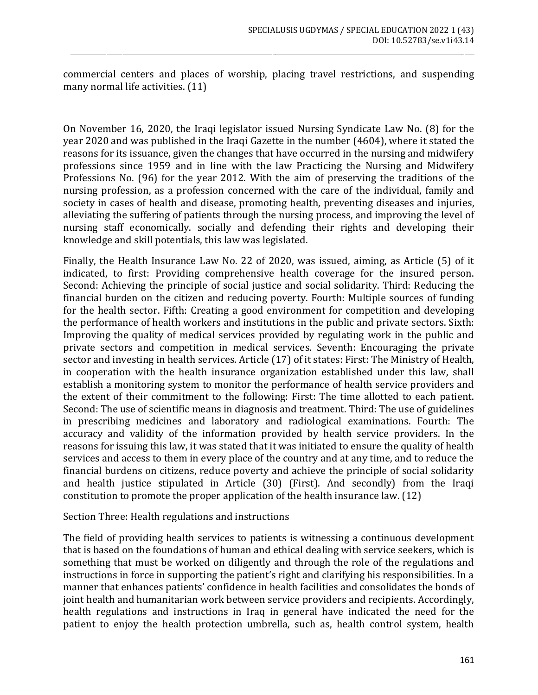commercial centers and places of worship, placing travel restrictions, and suspending many normal life activities. (11)

\_\_\_\_\_\_\_\_\_\_\_\_\_\_\_\_\_\_\_\_\_\_\_\_\_\_\_\_\_\_\_\_\_\_\_\_\_\_\_\_\_\_\_\_\_\_\_\_\_\_\_\_\_\_\_\_\_\_\_\_\_\_\_\_\_\_\_\_\_\_\_\_\_\_\_\_\_\_\_\_\_\_\_\_\_\_\_\_\_\_\_\_\_\_\_\_\_\_\_\_\_\_\_\_\_\_\_\_\_\_\_\_\_\_\_\_\_\_\_\_\_\_\_\_

On November 16, 2020, the Iraqi legislator issued Nursing Syndicate Law No. (8) for the year 2020 and was published in the Iraqi Gazette in the number (4604), where it stated the reasons for its issuance, given the changes that have occurred in the nursing and midwifery professions since 1959 and in line with the law Practicing the Nursing and Midwifery Professions No. (96) for the year 2012. With the aim of preserving the traditions of the nursing profession, as a profession concerned with the care of the individual, family and society in cases of health and disease, promoting health, preventing diseases and injuries, alleviating the suffering of patients through the nursing process, and improving the level of nursing staff economically. socially and defending their rights and developing their knowledge and skill potentials, this law was legislated.

Finally, the Health Insurance Law No. 22 of 2020, was issued, aiming, as Article (5) of it indicated, to first: Providing comprehensive health coverage for the insured person. Second: Achieving the principle of social justice and social solidarity. Third: Reducing the financial burden on the citizen and reducing poverty. Fourth: Multiple sources of funding for the health sector. Fifth: Creating a good environment for competition and developing the performance of health workers and institutions in the public and private sectors. Sixth: Improving the quality of medical services provided by regulating work in the public and private sectors and competition in medical services. Seventh: Encouraging the private sector and investing in health services. Article (17) of it states: First: The Ministry of Health, in cooperation with the health insurance organization established under this law, shall establish a monitoring system to monitor the performance of health service providers and the extent of their commitment to the following: First: The time allotted to each patient. Second: The use of scientific means in diagnosis and treatment. Third: The use of guidelines in prescribing medicines and laboratory and radiological examinations. Fourth: The accuracy and validity of the information provided by health service providers. In the reasons for issuing this law, it was stated that it was initiated to ensure the quality of health services and access to them in every place of the country and at any time, and to reduce the financial burdens on citizens, reduce poverty and achieve the principle of social solidarity and health justice stipulated in Article (30) (First). And secondly) from the Iraqi constitution to promote the proper application of the health insurance law. (12)

## Section Three: Health regulations and instructions

The field of providing health services to patients is witnessing a continuous development that is based on the foundations of human and ethical dealing with service seekers, which is something that must be worked on diligently and through the role of the regulations and instructions in force in supporting the patient's right and clarifying his responsibilities. In a manner that enhances patients' confidence in health facilities and consolidates the bonds of joint health and humanitarian work between service providers and recipients. Accordingly, health regulations and instructions in Iraq in general have indicated the need for the patient to enjoy the health protection umbrella, such as, health control system, health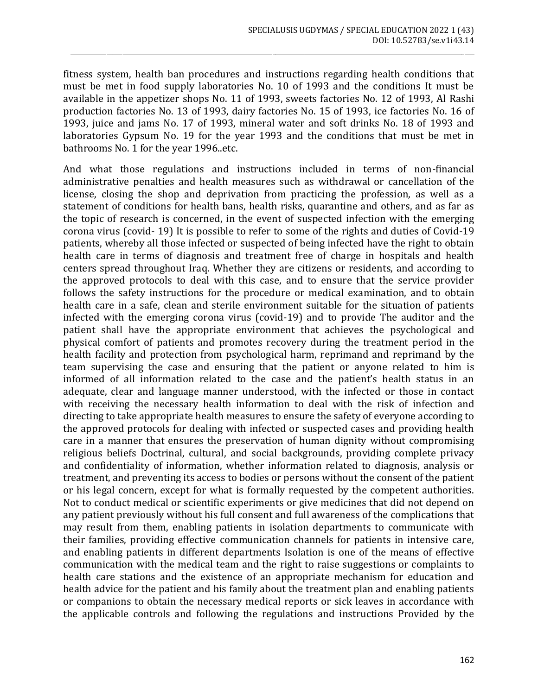fitness system, health ban procedures and instructions regarding health conditions that must be met in food supply laboratories No. 10 of 1993 and the conditions It must be available in the appetizer shops No. 11 of 1993, sweets factories No. 12 of 1993, Al Rashi production factories No. 13 of 1993, dairy factories No. 15 of 1993, ice factories No. 16 of 1993, juice and jams No. 17 of 1993, mineral water and soft drinks No. 18 of 1993 and laboratories Gypsum No. 19 for the year 1993 and the conditions that must be met in bathrooms No. 1 for the year 1996..etc.

\_\_\_\_\_\_\_\_\_\_\_\_\_\_\_\_\_\_\_\_\_\_\_\_\_\_\_\_\_\_\_\_\_\_\_\_\_\_\_\_\_\_\_\_\_\_\_\_\_\_\_\_\_\_\_\_\_\_\_\_\_\_\_\_\_\_\_\_\_\_\_\_\_\_\_\_\_\_\_\_\_\_\_\_\_\_\_\_\_\_\_\_\_\_\_\_\_\_\_\_\_\_\_\_\_\_\_\_\_\_\_\_\_\_\_\_\_\_\_\_\_\_\_\_

And what those regulations and instructions included in terms of non-financial administrative penalties and health measures such as withdrawal or cancellation of the license, closing the shop and deprivation from practicing the profession, as well as a statement of conditions for health bans, health risks, quarantine and others, and as far as the topic of research is concerned, in the event of suspected infection with the emerging corona virus (covid- 19) It is possible to refer to some of the rights and duties of Covid-19 patients, whereby all those infected or suspected of being infected have the right to obtain health care in terms of diagnosis and treatment free of charge in hospitals and health centers spread throughout Iraq. Whether they are citizens or residents, and according to the approved protocols to deal with this case, and to ensure that the service provider follows the safety instructions for the procedure or medical examination, and to obtain health care in a safe, clean and sterile environment suitable for the situation of patients infected with the emerging corona virus (covid-19) and to provide The auditor and the patient shall have the appropriate environment that achieves the psychological and physical comfort of patients and promotes recovery during the treatment period in the health facility and protection from psychological harm, reprimand and reprimand by the team supervising the case and ensuring that the patient or anyone related to him is informed of all information related to the case and the patient's health status in an adequate, clear and language manner understood, with the infected or those in contact with receiving the necessary health information to deal with the risk of infection and directing to take appropriate health measures to ensure the safety of everyone according to the approved protocols for dealing with infected or suspected cases and providing health care in a manner that ensures the preservation of human dignity without compromising religious beliefs Doctrinal, cultural, and social backgrounds, providing complete privacy and confidentiality of information, whether information related to diagnosis, analysis or treatment, and preventing its access to bodies or persons without the consent of the patient or his legal concern, except for what is formally requested by the competent authorities. Not to conduct medical or scientific experiments or give medicines that did not depend on any patient previously without his full consent and full awareness of the complications that may result from them, enabling patients in isolation departments to communicate with their families, providing effective communication channels for patients in intensive care, and enabling patients in different departments Isolation is one of the means of effective communication with the medical team and the right to raise suggestions or complaints to health care stations and the existence of an appropriate mechanism for education and health advice for the patient and his family about the treatment plan and enabling patients or companions to obtain the necessary medical reports or sick leaves in accordance with the applicable controls and following the regulations and instructions Provided by the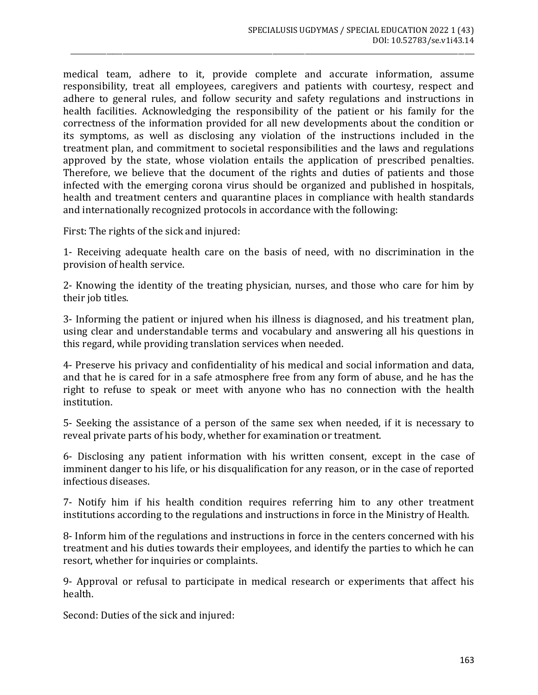medical team, adhere to it, provide complete and accurate information, assume responsibility, treat all employees, caregivers and patients with courtesy, respect and adhere to general rules, and follow security and safety regulations and instructions in health facilities. Acknowledging the responsibility of the patient or his family for the correctness of the information provided for all new developments about the condition or its symptoms, as well as disclosing any violation of the instructions included in the treatment plan, and commitment to societal responsibilities and the laws and regulations approved by the state, whose violation entails the application of prescribed penalties. Therefore, we believe that the document of the rights and duties of patients and those infected with the emerging corona virus should be organized and published in hospitals, health and treatment centers and quarantine places in compliance with health standards and internationally recognized protocols in accordance with the following:

\_\_\_\_\_\_\_\_\_\_\_\_\_\_\_\_\_\_\_\_\_\_\_\_\_\_\_\_\_\_\_\_\_\_\_\_\_\_\_\_\_\_\_\_\_\_\_\_\_\_\_\_\_\_\_\_\_\_\_\_\_\_\_\_\_\_\_\_\_\_\_\_\_\_\_\_\_\_\_\_\_\_\_\_\_\_\_\_\_\_\_\_\_\_\_\_\_\_\_\_\_\_\_\_\_\_\_\_\_\_\_\_\_\_\_\_\_\_\_\_\_\_\_\_

First: The rights of the sick and injured:

1- Receiving adequate health care on the basis of need, with no discrimination in the provision of health service.

2- Knowing the identity of the treating physician, nurses, and those who care for him by their job titles.

3- Informing the patient or injured when his illness is diagnosed, and his treatment plan, using clear and understandable terms and vocabulary and answering all his questions in this regard, while providing translation services when needed.

4- Preserve his privacy and confidentiality of his medical and social information and data, and that he is cared for in a safe atmosphere free from any form of abuse, and he has the right to refuse to speak or meet with anyone who has no connection with the health institution.

5- Seeking the assistance of a person of the same sex when needed, if it is necessary to reveal private parts of his body, whether for examination or treatment.

6- Disclosing any patient information with his written consent, except in the case of imminent danger to his life, or his disqualification for any reason, or in the case of reported infectious diseases.

7- Notify him if his health condition requires referring him to any other treatment institutions according to the regulations and instructions in force in the Ministry of Health.

8- Inform him of the regulations and instructions in force in the centers concerned with his treatment and his duties towards their employees, and identify the parties to which he can resort, whether for inquiries or complaints.

9- Approval or refusal to participate in medical research or experiments that affect his health.

Second: Duties of the sick and injured: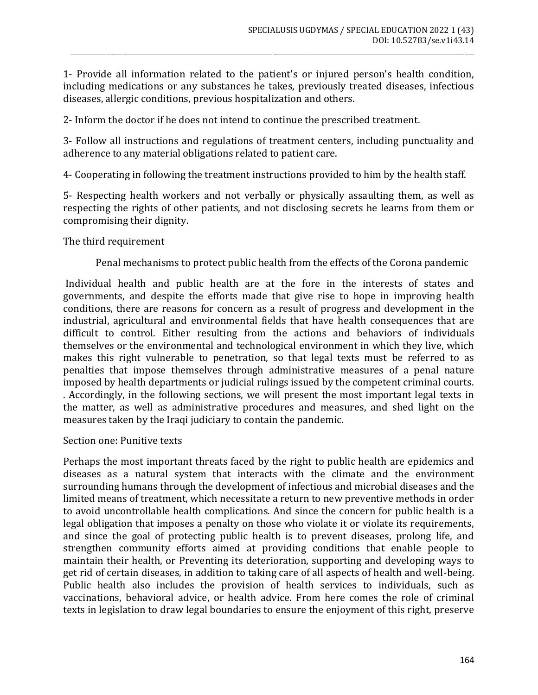1- Provide all information related to the patient's or injured person's health condition, including medications or any substances he takes, previously treated diseases, infectious diseases, allergic conditions, previous hospitalization and others.

\_\_\_\_\_\_\_\_\_\_\_\_\_\_\_\_\_\_\_\_\_\_\_\_\_\_\_\_\_\_\_\_\_\_\_\_\_\_\_\_\_\_\_\_\_\_\_\_\_\_\_\_\_\_\_\_\_\_\_\_\_\_\_\_\_\_\_\_\_\_\_\_\_\_\_\_\_\_\_\_\_\_\_\_\_\_\_\_\_\_\_\_\_\_\_\_\_\_\_\_\_\_\_\_\_\_\_\_\_\_\_\_\_\_\_\_\_\_\_\_\_\_\_\_

2- Inform the doctor if he does not intend to continue the prescribed treatment.

3- Follow all instructions and regulations of treatment centers, including punctuality and adherence to any material obligations related to patient care.

4- Cooperating in following the treatment instructions provided to him by the health staff.

5- Respecting health workers and not verbally or physically assaulting them, as well as respecting the rights of other patients, and not disclosing secrets he learns from them or compromising their dignity.

The third requirement

Penal mechanisms to protect public health from the effects of the Corona pandemic

Individual health and public health are at the fore in the interests of states and governments, and despite the efforts made that give rise to hope in improving health conditions, there are reasons for concern as a result of progress and development in the industrial, agricultural and environmental fields that have health consequences that are difficult to control. Either resulting from the actions and behaviors of individuals themselves or the environmental and technological environment in which they live, which makes this right vulnerable to penetration, so that legal texts must be referred to as penalties that impose themselves through administrative measures of a penal nature imposed by health departments or judicial rulings issued by the competent criminal courts. . Accordingly, in the following sections, we will present the most important legal texts in the matter, as well as administrative procedures and measures, and shed light on the measures taken by the Iraqi judiciary to contain the pandemic.

#### Section one: Punitive texts

Perhaps the most important threats faced by the right to public health are epidemics and diseases as a natural system that interacts with the climate and the environment surrounding humans through the development of infectious and microbial diseases and the limited means of treatment, which necessitate a return to new preventive methods in order to avoid uncontrollable health complications. And since the concern for public health is a legal obligation that imposes a penalty on those who violate it or violate its requirements, and since the goal of protecting public health is to prevent diseases, prolong life, and strengthen community efforts aimed at providing conditions that enable people to maintain their health, or Preventing its deterioration, supporting and developing ways to get rid of certain diseases, in addition to taking care of all aspects of health and well-being. Public health also includes the provision of health services to individuals, such as vaccinations, behavioral advice, or health advice. From here comes the role of criminal texts in legislation to draw legal boundaries to ensure the enjoyment of this right, preserve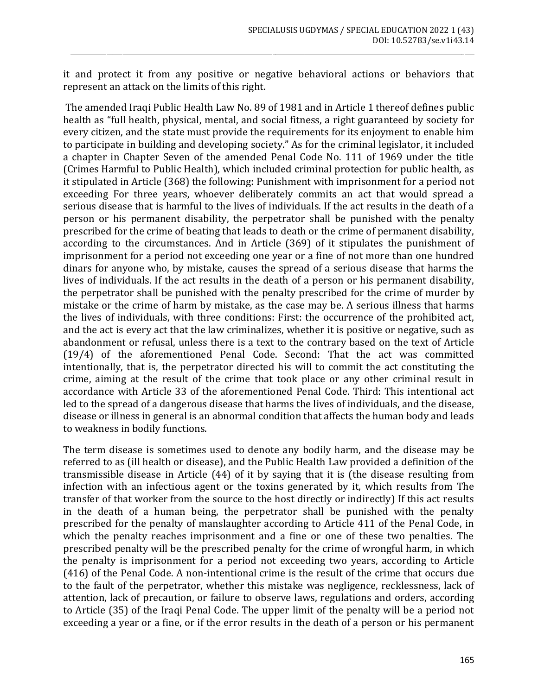it and protect it from any positive or negative behavioral actions or behaviors that represent an attack on the limits of this right.

\_\_\_\_\_\_\_\_\_\_\_\_\_\_\_\_\_\_\_\_\_\_\_\_\_\_\_\_\_\_\_\_\_\_\_\_\_\_\_\_\_\_\_\_\_\_\_\_\_\_\_\_\_\_\_\_\_\_\_\_\_\_\_\_\_\_\_\_\_\_\_\_\_\_\_\_\_\_\_\_\_\_\_\_\_\_\_\_\_\_\_\_\_\_\_\_\_\_\_\_\_\_\_\_\_\_\_\_\_\_\_\_\_\_\_\_\_\_\_\_\_\_\_\_

The amended Iraqi Public Health Law No. 89 of 1981 and in Article 1 thereof defines public health as "full health, physical, mental, and social fitness, a right guaranteed by society for every citizen, and the state must provide the requirements for its enjoyment to enable him to participate in building and developing society." As for the criminal legislator, it included a chapter in Chapter Seven of the amended Penal Code No. 111 of 1969 under the title (Crimes Harmful to Public Health), which included criminal protection for public health, as it stipulated in Article (368) the following: Punishment with imprisonment for a period not exceeding For three years, whoever deliberately commits an act that would spread a serious disease that is harmful to the lives of individuals. If the act results in the death of a person or his permanent disability, the perpetrator shall be punished with the penalty prescribed for the crime of beating that leads to death or the crime of permanent disability, according to the circumstances. And in Article (369) of it stipulates the punishment of imprisonment for a period not exceeding one year or a fine of not more than one hundred dinars for anyone who, by mistake, causes the spread of a serious disease that harms the lives of individuals. If the act results in the death of a person or his permanent disability, the perpetrator shall be punished with the penalty prescribed for the crime of murder by mistake or the crime of harm by mistake, as the case may be. A serious illness that harms the lives of individuals, with three conditions: First: the occurrence of the prohibited act, and the act is every act that the law criminalizes, whether it is positive or negative, such as abandonment or refusal, unless there is a text to the contrary based on the text of Article (19/4) of the aforementioned Penal Code. Second: That the act was committed intentionally, that is, the perpetrator directed his will to commit the act constituting the crime, aiming at the result of the crime that took place or any other criminal result in accordance with Article 33 of the aforementioned Penal Code. Third: This intentional act led to the spread of a dangerous disease that harms the lives of individuals, and the disease, disease or illness in general is an abnormal condition that affects the human body and leads to weakness in bodily functions.

The term disease is sometimes used to denote any bodily harm, and the disease may be referred to as (ill health or disease), and the Public Health Law provided a definition of the transmissible disease in Article (44) of it by saying that it is (the disease resulting from infection with an infectious agent or the toxins generated by it, which results from The transfer of that worker from the source to the host directly or indirectly) If this act results in the death of a human being, the perpetrator shall be punished with the penalty prescribed for the penalty of manslaughter according to Article 411 of the Penal Code, in which the penalty reaches imprisonment and a fine or one of these two penalties. The prescribed penalty will be the prescribed penalty for the crime of wrongful harm, in which the penalty is imprisonment for a period not exceeding two years, according to Article (416) of the Penal Code. A non-intentional crime is the result of the crime that occurs due to the fault of the perpetrator, whether this mistake was negligence, recklessness, lack of attention, lack of precaution, or failure to observe laws, regulations and orders, according to Article (35) of the Iraqi Penal Code. The upper limit of the penalty will be a period not exceeding a year or a fine, or if the error results in the death of a person or his permanent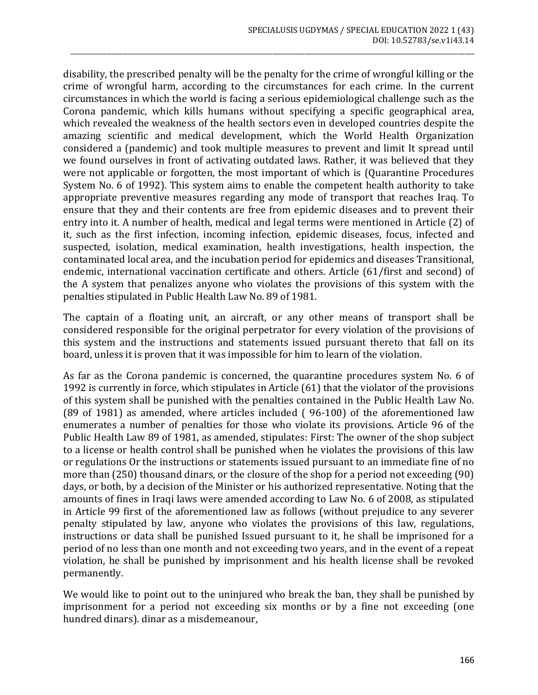disability, the prescribed penalty will be the penalty for the crime of wrongful killing or the crime of wrongful harm, according to the circumstances for each crime. In the current circumstances in which the world is facing a serious epidemiological challenge such as the Corona pandemic, which kills humans without specifying a specific geographical area, which revealed the weakness of the health sectors even in developed countries despite the amazing scientific and medical development, which the World Health Organization considered a (pandemic) and took multiple measures to prevent and limit It spread until we found ourselves in front of activating outdated laws. Rather, it was believed that they were not applicable or forgotten, the most important of which is (Quarantine Procedures System No. 6 of 1992). This system aims to enable the competent health authority to take appropriate preventive measures regarding any mode of transport that reaches Iraq. To ensure that they and their contents are free from epidemic diseases and to prevent their entry into it. A number of health, medical and legal terms were mentioned in Article (2) of it, such as the first infection, incoming infection, epidemic diseases, focus, infected and suspected, isolation, medical examination, health investigations, health inspection, the contaminated local area, and the incubation period for epidemics and diseases Transitional, endemic, international vaccination certificate and others. Article (61/first and second) of the A system that penalizes anyone who violates the provisions of this system with the penalties stipulated in Public Health Law No. 89 of 1981.

\_\_\_\_\_\_\_\_\_\_\_\_\_\_\_\_\_\_\_\_\_\_\_\_\_\_\_\_\_\_\_\_\_\_\_\_\_\_\_\_\_\_\_\_\_\_\_\_\_\_\_\_\_\_\_\_\_\_\_\_\_\_\_\_\_\_\_\_\_\_\_\_\_\_\_\_\_\_\_\_\_\_\_\_\_\_\_\_\_\_\_\_\_\_\_\_\_\_\_\_\_\_\_\_\_\_\_\_\_\_\_\_\_\_\_\_\_\_\_\_\_\_\_\_

The captain of a floating unit, an aircraft, or any other means of transport shall be considered responsible for the original perpetrator for every violation of the provisions of this system and the instructions and statements issued pursuant thereto that fall on its board, unless it is proven that it was impossible for him to learn of the violation.

As far as the Corona pandemic is concerned, the quarantine procedures system No. 6 of 1992 is currently in force, which stipulates in Article (61) that the violator of the provisions of this system shall be punished with the penalties contained in the Public Health Law No. (89 of 1981) as amended, where articles included ( 96-100) of the aforementioned law enumerates a number of penalties for those who violate its provisions. Article 96 of the Public Health Law 89 of 1981, as amended, stipulates: First: The owner of the shop subject to a license or health control shall be punished when he violates the provisions of this law or regulations Or the instructions or statements issued pursuant to an immediate fine of no more than (250) thousand dinars, or the closure of the shop for a period not exceeding (90) days, or both, by a decision of the Minister or his authorized representative. Noting that the amounts of fines in Iraqi laws were amended according to Law No. 6 of 2008, as stipulated in Article 99 first of the aforementioned law as follows (without prejudice to any severer penalty stipulated by law, anyone who violates the provisions of this law, regulations, instructions or data shall be punished Issued pursuant to it, he shall be imprisoned for a period of no less than one month and not exceeding two years, and in the event of a repeat violation, he shall be punished by imprisonment and his health license shall be revoked permanently.

We would like to point out to the uninjured who break the ban, they shall be punished by imprisonment for a period not exceeding six months or by a fine not exceeding (one hundred dinars). dinar as a misdemeanour,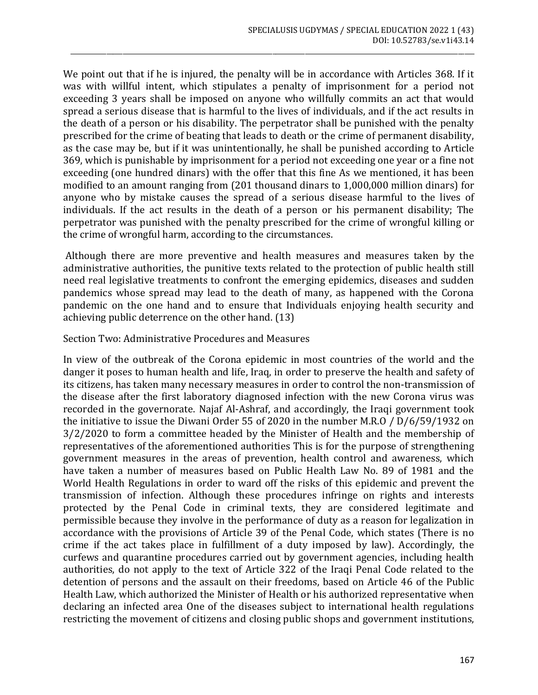We point out that if he is injured, the penalty will be in accordance with Articles 368. If it was with willful intent, which stipulates a penalty of imprisonment for a period not exceeding 3 years shall be imposed on anyone who willfully commits an act that would spread a serious disease that is harmful to the lives of individuals, and if the act results in the death of a person or his disability. The perpetrator shall be punished with the penalty prescribed for the crime of beating that leads to death or the crime of permanent disability, as the case may be, but if it was unintentionally, he shall be punished according to Article 369, which is punishable by imprisonment for a period not exceeding one year or a fine not exceeding (one hundred dinars) with the offer that this fine As we mentioned, it has been modified to an amount ranging from (201 thousand dinars to 1,000,000 million dinars) for anyone who by mistake causes the spread of a serious disease harmful to the lives of individuals. If the act results in the death of a person or his permanent disability; The perpetrator was punished with the penalty prescribed for the crime of wrongful killing or the crime of wrongful harm, according to the circumstances.

\_\_\_\_\_\_\_\_\_\_\_\_\_\_\_\_\_\_\_\_\_\_\_\_\_\_\_\_\_\_\_\_\_\_\_\_\_\_\_\_\_\_\_\_\_\_\_\_\_\_\_\_\_\_\_\_\_\_\_\_\_\_\_\_\_\_\_\_\_\_\_\_\_\_\_\_\_\_\_\_\_\_\_\_\_\_\_\_\_\_\_\_\_\_\_\_\_\_\_\_\_\_\_\_\_\_\_\_\_\_\_\_\_\_\_\_\_\_\_\_\_\_\_\_

Although there are more preventive and health measures and measures taken by the administrative authorities, the punitive texts related to the protection of public health still need real legislative treatments to confront the emerging epidemics, diseases and sudden pandemics whose spread may lead to the death of many, as happened with the Corona pandemic on the one hand and to ensure that Individuals enjoying health security and achieving public deterrence on the other hand. (13)

#### Section Two: Administrative Procedures and Measures

In view of the outbreak of the Corona epidemic in most countries of the world and the danger it poses to human health and life, Iraq, in order to preserve the health and safety of its citizens, has taken many necessary measures in order to control the non-transmission of the disease after the first laboratory diagnosed infection with the new Corona virus was recorded in the governorate. Najaf Al-Ashraf, and accordingly, the Iraqi government took the initiative to issue the Diwani Order 55 of 2020 in the number M.R.O / D/6/59/1932 on 3/2/2020 to form a committee headed by the Minister of Health and the membership of representatives of the aforementioned authorities This is for the purpose of strengthening government measures in the areas of prevention, health control and awareness, which have taken a number of measures based on Public Health Law No. 89 of 1981 and the World Health Regulations in order to ward off the risks of this epidemic and prevent the transmission of infection. Although these procedures infringe on rights and interests protected by the Penal Code in criminal texts, they are considered legitimate and permissible because they involve in the performance of duty as a reason for legalization in accordance with the provisions of Article 39 of the Penal Code, which states (There is no crime if the act takes place in fulfillment of a duty imposed by law). Accordingly, the curfews and quarantine procedures carried out by government agencies, including health authorities, do not apply to the text of Article 322 of the Iraqi Penal Code related to the detention of persons and the assault on their freedoms, based on Article 46 of the Public Health Law, which authorized the Minister of Health or his authorized representative when declaring an infected area One of the diseases subject to international health regulations restricting the movement of citizens and closing public shops and government institutions,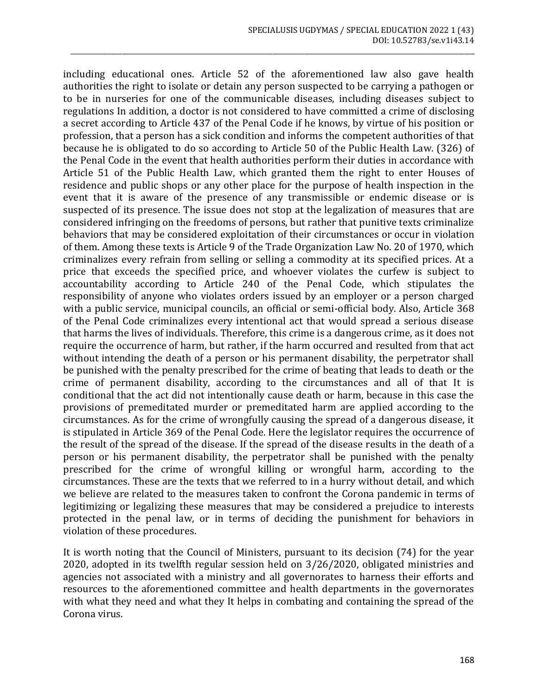including educational ones. Article 52 of the aforementioned law also gave health authorities the right to isolate or detain any person suspected to be carrying a pathogen or to be in nurseries for one of the communicable diseases, including diseases subject to regulations In addition, a doctor is not considered to have committed a crime of disclosing a secret according to Article 437 of the Penal Code if he knows, by virtue of his position or profession, that a person has a sick condition and informs the competent authorities of that because he is obligated to do so according to Article 50 of the Public Health Law. (326) of the Penal Code in the event that health authorities perform their duties in accordance with Article 51 of the Public Health Law, which granted them the right to enter Houses of residence and public shops or any other place for the purpose of health inspection in the event that it is aware of the presence of any transmissible or endemic disease or is suspected of its presence. The issue does not stop at the legalization of measures that are considered infringing on the freedoms of persons, but rather that punitive texts criminalize behaviors that may be considered exploitation of their circumstances or occur in violation of them. Among these texts is Article 9 of the Trade Organization Law No. 20 of 1970, which criminalizes every refrain from selling or selling a commodity at its specified prices. At a price that exceeds the specified price, and whoever violates the curfew is subject to accountability according to Article 240 of the Penal Code, which stipulates the responsibility of anyone who violates orders issued by an employer or a person charged with a public service, municipal councils, an official or semi-official body. Also, Article 368 of the Penal Code criminalizes every intentional act that would spread a serious disease that harms the lives of individuals. Therefore, this crime is a dangerous crime, as it does not require the occurrence of harm, but rather, if the harm occurred and resulted from that act without intending the death of a person or his permanent disability, the perpetrator shall be punished with the penalty prescribed for the crime of beating that leads to death or the crime of permanent disability, according to the circumstances and all of that It is conditional that the act did not intentionally cause death or harm, because in this case the provisions of premeditated murder or premeditated harm are applied according to the circumstances. As for the crime of wrongfully causing the spread of a dangerous disease, it is stipulated in Article 369 of the Penal Code. Here the legislator requires the occurrence of the result of the spread of the disease. If the spread of the disease results in the death of a person or his permanent disability, the perpetrator shall be punished with the penalty prescribed for the crime of wrongful killing or wrongful harm, according to the circumstances. These are the texts that we referred to in a hurry without detail, and which we believe are related to the measures taken to confront the Corona pandemic in terms of legitimizing or legalizing these measures that may be considered a prejudice to interests protected in the penal law, or in terms of deciding the punishment for behaviors in violation of these procedures.

\_\_\_\_\_\_\_\_\_\_\_\_\_\_\_\_\_\_\_\_\_\_\_\_\_\_\_\_\_\_\_\_\_\_\_\_\_\_\_\_\_\_\_\_\_\_\_\_\_\_\_\_\_\_\_\_\_\_\_\_\_\_\_\_\_\_\_\_\_\_\_\_\_\_\_\_\_\_\_\_\_\_\_\_\_\_\_\_\_\_\_\_\_\_\_\_\_\_\_\_\_\_\_\_\_\_\_\_\_\_\_\_\_\_\_\_\_\_\_\_\_\_\_\_

It is worth noting that the Council of Ministers, pursuant to its decision (74) for the year 2020, adopted in its twelfth regular session held on 3/26/2020, obligated ministries and agencies not associated with a ministry and all governorates to harness their efforts and resources to the aforementioned committee and health departments in the governorates with what they need and what they It helps in combating and containing the spread of the Corona virus.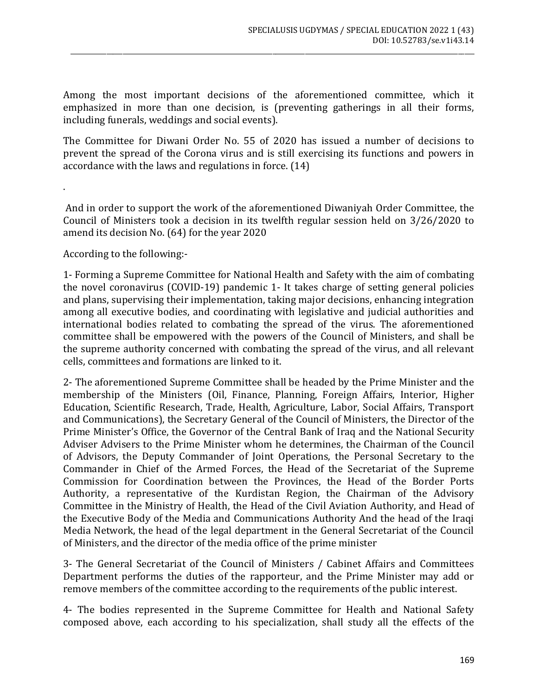Among the most important decisions of the aforementioned committee, which it emphasized in more than one decision, is (preventing gatherings in all their forms, including funerals, weddings and social events).

\_\_\_\_\_\_\_\_\_\_\_\_\_\_\_\_\_\_\_\_\_\_\_\_\_\_\_\_\_\_\_\_\_\_\_\_\_\_\_\_\_\_\_\_\_\_\_\_\_\_\_\_\_\_\_\_\_\_\_\_\_\_\_\_\_\_\_\_\_\_\_\_\_\_\_\_\_\_\_\_\_\_\_\_\_\_\_\_\_\_\_\_\_\_\_\_\_\_\_\_\_\_\_\_\_\_\_\_\_\_\_\_\_\_\_\_\_\_\_\_\_\_\_\_

The Committee for Diwani Order No. 55 of 2020 has issued a number of decisions to prevent the spread of the Corona virus and is still exercising its functions and powers in accordance with the laws and regulations in force. (14)

And in order to support the work of the aforementioned Diwaniyah Order Committee, the Council of Ministers took a decision in its twelfth regular session held on 3/26/2020 to amend its decision No. (64) for the year 2020

According to the following:-

.

1- Forming a Supreme Committee for National Health and Safety with the aim of combating the novel coronavirus (COVID-19) pandemic 1- It takes charge of setting general policies and plans, supervising their implementation, taking major decisions, enhancing integration among all executive bodies, and coordinating with legislative and judicial authorities and international bodies related to combating the spread of the virus. The aforementioned committee shall be empowered with the powers of the Council of Ministers, and shall be the supreme authority concerned with combating the spread of the virus, and all relevant cells, committees and formations are linked to it.

2- The aforementioned Supreme Committee shall be headed by the Prime Minister and the membership of the Ministers (Oil, Finance, Planning, Foreign Affairs, Interior, Higher Education, Scientific Research, Trade, Health, Agriculture, Labor, Social Affairs, Transport and Communications), the Secretary General of the Council of Ministers, the Director of the Prime Minister's Office, the Governor of the Central Bank of Iraq and the National Security Adviser Advisers to the Prime Minister whom he determines, the Chairman of the Council of Advisors, the Deputy Commander of Joint Operations, the Personal Secretary to the Commander in Chief of the Armed Forces, the Head of the Secretariat of the Supreme Commission for Coordination between the Provinces, the Head of the Border Ports Authority, a representative of the Kurdistan Region, the Chairman of the Advisory Committee in the Ministry of Health, the Head of the Civil Aviation Authority, and Head of the Executive Body of the Media and Communications Authority And the head of the Iraqi Media Network, the head of the legal department in the General Secretariat of the Council of Ministers, and the director of the media office of the prime minister

3- The General Secretariat of the Council of Ministers / Cabinet Affairs and Committees Department performs the duties of the rapporteur, and the Prime Minister may add or remove members of the committee according to the requirements of the public interest.

4- The bodies represented in the Supreme Committee for Health and National Safety composed above, each according to his specialization, shall study all the effects of the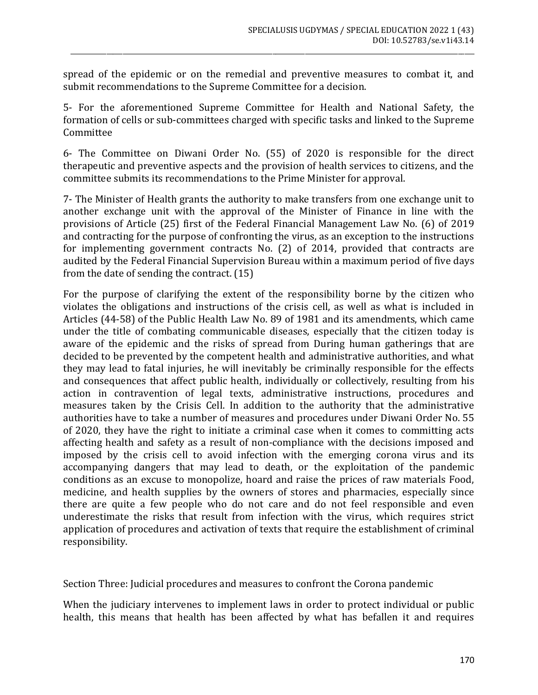spread of the epidemic or on the remedial and preventive measures to combat it, and submit recommendations to the Supreme Committee for a decision.

\_\_\_\_\_\_\_\_\_\_\_\_\_\_\_\_\_\_\_\_\_\_\_\_\_\_\_\_\_\_\_\_\_\_\_\_\_\_\_\_\_\_\_\_\_\_\_\_\_\_\_\_\_\_\_\_\_\_\_\_\_\_\_\_\_\_\_\_\_\_\_\_\_\_\_\_\_\_\_\_\_\_\_\_\_\_\_\_\_\_\_\_\_\_\_\_\_\_\_\_\_\_\_\_\_\_\_\_\_\_\_\_\_\_\_\_\_\_\_\_\_\_\_\_

5- For the aforementioned Supreme Committee for Health and National Safety, the formation of cells or sub-committees charged with specific tasks and linked to the Supreme Committee

6- The Committee on Diwani Order No. (55) of 2020 is responsible for the direct therapeutic and preventive aspects and the provision of health services to citizens, and the committee submits its recommendations to the Prime Minister for approval.

7- The Minister of Health grants the authority to make transfers from one exchange unit to another exchange unit with the approval of the Minister of Finance in line with the provisions of Article (25) first of the Federal Financial Management Law No. (6) of 2019 and contracting for the purpose of confronting the virus, as an exception to the instructions for implementing government contracts No. (2) of 2014, provided that contracts are audited by the Federal Financial Supervision Bureau within a maximum period of five days from the date of sending the contract. (15)

For the purpose of clarifying the extent of the responsibility borne by the citizen who violates the obligations and instructions of the crisis cell, as well as what is included in Articles (44-58) of the Public Health Law No. 89 of 1981 and its amendments, which came under the title of combating communicable diseases, especially that the citizen today is aware of the epidemic and the risks of spread from During human gatherings that are decided to be prevented by the competent health and administrative authorities, and what they may lead to fatal injuries, he will inevitably be criminally responsible for the effects and consequences that affect public health, individually or collectively, resulting from his action in contravention of legal texts, administrative instructions, procedures and measures taken by the Crisis Cell. In addition to the authority that the administrative authorities have to take a number of measures and procedures under Diwani Order No. 55 of 2020, they have the right to initiate a criminal case when it comes to committing acts affecting health and safety as a result of non-compliance with the decisions imposed and imposed by the crisis cell to avoid infection with the emerging corona virus and its accompanying dangers that may lead to death, or the exploitation of the pandemic conditions as an excuse to monopolize, hoard and raise the prices of raw materials Food, medicine, and health supplies by the owners of stores and pharmacies, especially since there are quite a few people who do not care and do not feel responsible and even underestimate the risks that result from infection with the virus, which requires strict application of procedures and activation of texts that require the establishment of criminal responsibility.

Section Three: Judicial procedures and measures to confront the Corona pandemic

When the judiciary intervenes to implement laws in order to protect individual or public health, this means that health has been affected by what has befallen it and requires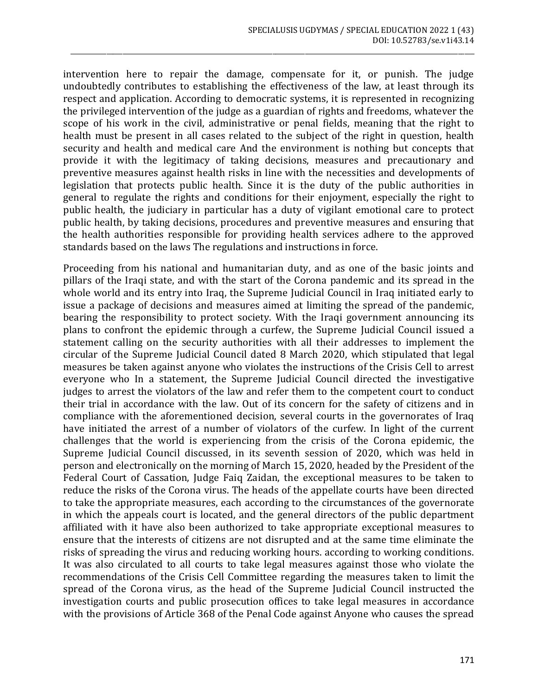intervention here to repair the damage, compensate for it, or punish. The judge undoubtedly contributes to establishing the effectiveness of the law, at least through its respect and application. According to democratic systems, it is represented in recognizing the privileged intervention of the judge as a guardian of rights and freedoms, whatever the scope of his work in the civil, administrative or penal fields, meaning that the right to health must be present in all cases related to the subject of the right in question, health security and health and medical care And the environment is nothing but concepts that provide it with the legitimacy of taking decisions, measures and precautionary and preventive measures against health risks in line with the necessities and developments of legislation that protects public health. Since it is the duty of the public authorities in general to regulate the rights and conditions for their enjoyment, especially the right to public health, the judiciary in particular has a duty of vigilant emotional care to protect public health, by taking decisions, procedures and preventive measures and ensuring that the health authorities responsible for providing health services adhere to the approved standards based on the laws The regulations and instructions in force.

\_\_\_\_\_\_\_\_\_\_\_\_\_\_\_\_\_\_\_\_\_\_\_\_\_\_\_\_\_\_\_\_\_\_\_\_\_\_\_\_\_\_\_\_\_\_\_\_\_\_\_\_\_\_\_\_\_\_\_\_\_\_\_\_\_\_\_\_\_\_\_\_\_\_\_\_\_\_\_\_\_\_\_\_\_\_\_\_\_\_\_\_\_\_\_\_\_\_\_\_\_\_\_\_\_\_\_\_\_\_\_\_\_\_\_\_\_\_\_\_\_\_\_\_

Proceeding from his national and humanitarian duty, and as one of the basic joints and pillars of the Iraqi state, and with the start of the Corona pandemic and its spread in the whole world and its entry into Iraq, the Supreme Judicial Council in Iraq initiated early to issue a package of decisions and measures aimed at limiting the spread of the pandemic, bearing the responsibility to protect society. With the Iraqi government announcing its plans to confront the epidemic through a curfew, the Supreme Judicial Council issued a statement calling on the security authorities with all their addresses to implement the circular of the Supreme Judicial Council dated 8 March 2020, which stipulated that legal measures be taken against anyone who violates the instructions of the Crisis Cell to arrest everyone who In a statement, the Supreme Judicial Council directed the investigative judges to arrest the violators of the law and refer them to the competent court to conduct their trial in accordance with the law. Out of its concern for the safety of citizens and in compliance with the aforementioned decision, several courts in the governorates of Iraq have initiated the arrest of a number of violators of the curfew. In light of the current challenges that the world is experiencing from the crisis of the Corona epidemic, the Supreme Judicial Council discussed, in its seventh session of 2020, which was held in person and electronically on the morning of March 15, 2020, headed by the President of the Federal Court of Cassation, Judge Faiq Zaidan, the exceptional measures to be taken to reduce the risks of the Corona virus. The heads of the appellate courts have been directed to take the appropriate measures, each according to the circumstances of the governorate in which the appeals court is located, and the general directors of the public department affiliated with it have also been authorized to take appropriate exceptional measures to ensure that the interests of citizens are not disrupted and at the same time eliminate the risks of spreading the virus and reducing working hours. according to working conditions. It was also circulated to all courts to take legal measures against those who violate the recommendations of the Crisis Cell Committee regarding the measures taken to limit the spread of the Corona virus, as the head of the Supreme Judicial Council instructed the investigation courts and public prosecution offices to take legal measures in accordance with the provisions of Article 368 of the Penal Code against Anyone who causes the spread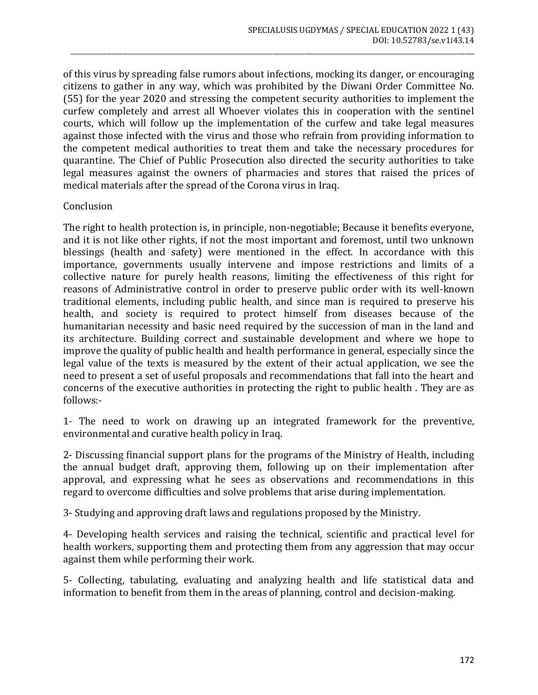of this virus by spreading false rumors about infections, mocking its danger, or encouraging citizens to gather in any way, which was prohibited by the Diwani Order Committee No. (55) for the year 2020 and stressing the competent security authorities to implement the curfew completely and arrest all Whoever violates this in cooperation with the sentinel courts, which will follow up the implementation of the curfew and take legal measures against those infected with the virus and those who refrain from providing information to the competent medical authorities to treat them and take the necessary procedures for quarantine. The Chief of Public Prosecution also directed the security authorities to take legal measures against the owners of pharmacies and stores that raised the prices of medical materials after the spread of the Corona virus in Iraq.

\_\_\_\_\_\_\_\_\_\_\_\_\_\_\_\_\_\_\_\_\_\_\_\_\_\_\_\_\_\_\_\_\_\_\_\_\_\_\_\_\_\_\_\_\_\_\_\_\_\_\_\_\_\_\_\_\_\_\_\_\_\_\_\_\_\_\_\_\_\_\_\_\_\_\_\_\_\_\_\_\_\_\_\_\_\_\_\_\_\_\_\_\_\_\_\_\_\_\_\_\_\_\_\_\_\_\_\_\_\_\_\_\_\_\_\_\_\_\_\_\_\_\_\_

#### **Conclusion**

The right to health protection is, in principle, non-negotiable; Because it benefits everyone, and it is not like other rights, if not the most important and foremost, until two unknown blessings (health and safety) were mentioned in the effect. In accordance with this importance, governments usually intervene and impose restrictions and limits of a collective nature for purely health reasons, limiting the effectiveness of this right for reasons of Administrative control in order to preserve public order with its well-known traditional elements, including public health, and since man is required to preserve his health, and society is required to protect himself from diseases because of the humanitarian necessity and basic need required by the succession of man in the land and its architecture. Building correct and sustainable development and where we hope to improve the quality of public health and health performance in general, especially since the legal value of the texts is measured by the extent of their actual application, we see the need to present a set of useful proposals and recommendations that fall into the heart and concerns of the executive authorities in protecting the right to public health . They are as follows:-

1- The need to work on drawing up an integrated framework for the preventive, environmental and curative health policy in Iraq.

2- Discussing financial support plans for the programs of the Ministry of Health, including the annual budget draft, approving them, following up on their implementation after approval, and expressing what he sees as observations and recommendations in this regard to overcome difficulties and solve problems that arise during implementation.

3- Studying and approving draft laws and regulations proposed by the Ministry.

4- Developing health services and raising the technical, scientific and practical level for health workers, supporting them and protecting them from any aggression that may occur against them while performing their work.

5- Collecting, tabulating, evaluating and analyzing health and life statistical data and information to benefit from them in the areas of planning, control and decision-making.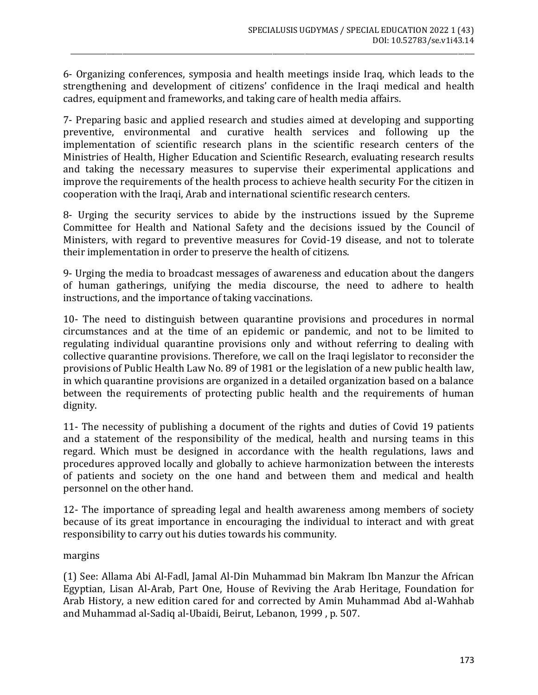6- Organizing conferences, symposia and health meetings inside Iraq, which leads to the strengthening and development of citizens' confidence in the Iraqi medical and health cadres, equipment and frameworks, and taking care of health media affairs.

\_\_\_\_\_\_\_\_\_\_\_\_\_\_\_\_\_\_\_\_\_\_\_\_\_\_\_\_\_\_\_\_\_\_\_\_\_\_\_\_\_\_\_\_\_\_\_\_\_\_\_\_\_\_\_\_\_\_\_\_\_\_\_\_\_\_\_\_\_\_\_\_\_\_\_\_\_\_\_\_\_\_\_\_\_\_\_\_\_\_\_\_\_\_\_\_\_\_\_\_\_\_\_\_\_\_\_\_\_\_\_\_\_\_\_\_\_\_\_\_\_\_\_\_

7- Preparing basic and applied research and studies aimed at developing and supporting preventive, environmental and curative health services and following up the implementation of scientific research plans in the scientific research centers of the Ministries of Health, Higher Education and Scientific Research, evaluating research results and taking the necessary measures to supervise their experimental applications and improve the requirements of the health process to achieve health security For the citizen in cooperation with the Iraqi, Arab and international scientific research centers.

8- Urging the security services to abide by the instructions issued by the Supreme Committee for Health and National Safety and the decisions issued by the Council of Ministers, with regard to preventive measures for Covid-19 disease, and not to tolerate their implementation in order to preserve the health of citizens.

9- Urging the media to broadcast messages of awareness and education about the dangers of human gatherings, unifying the media discourse, the need to adhere to health instructions, and the importance of taking vaccinations.

10- The need to distinguish between quarantine provisions and procedures in normal circumstances and at the time of an epidemic or pandemic, and not to be limited to regulating individual quarantine provisions only and without referring to dealing with collective quarantine provisions. Therefore, we call on the Iraqi legislator to reconsider the provisions of Public Health Law No. 89 of 1981 or the legislation of a new public health law, in which quarantine provisions are organized in a detailed organization based on a balance between the requirements of protecting public health and the requirements of human dignity.

11- The necessity of publishing a document of the rights and duties of Covid 19 patients and a statement of the responsibility of the medical, health and nursing teams in this regard. Which must be designed in accordance with the health regulations, laws and procedures approved locally and globally to achieve harmonization between the interests of patients and society on the one hand and between them and medical and health personnel on the other hand.

12- The importance of spreading legal and health awareness among members of society because of its great importance in encouraging the individual to interact and with great responsibility to carry out his duties towards his community.

margins

(1) See: Allama Abi Al-Fadl, Jamal Al-Din Muhammad bin Makram Ibn Manzur the African Egyptian, Lisan Al-Arab, Part One, House of Reviving the Arab Heritage, Foundation for Arab History, a new edition cared for and corrected by Amin Muhammad Abd al-Wahhab and Muhammad al-Sadiq al-Ubaidi, Beirut, Lebanon, 1999 , p. 507.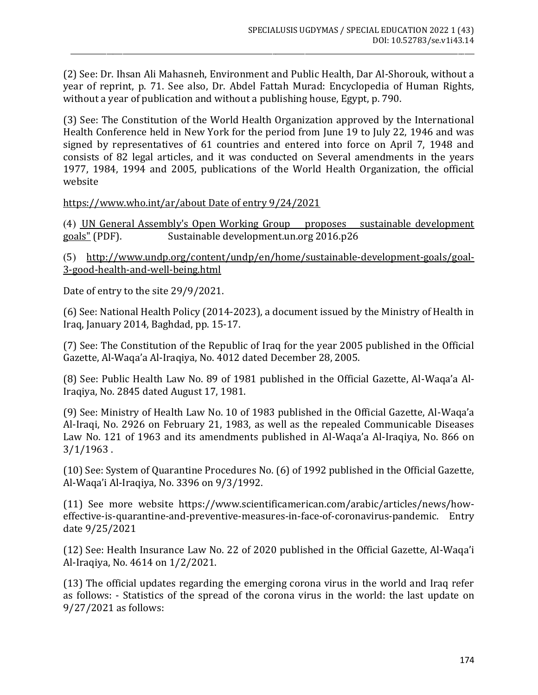(2) See: Dr. Ihsan Ali Mahasneh, Environment and Public Health, Dar Al-Shorouk, without a year of reprint, p. 71. See also, Dr. Abdel Fattah Murad: Encyclopedia of Human Rights, without a year of publication and without a publishing house, Egypt, p. 790.

\_\_\_\_\_\_\_\_\_\_\_\_\_\_\_\_\_\_\_\_\_\_\_\_\_\_\_\_\_\_\_\_\_\_\_\_\_\_\_\_\_\_\_\_\_\_\_\_\_\_\_\_\_\_\_\_\_\_\_\_\_\_\_\_\_\_\_\_\_\_\_\_\_\_\_\_\_\_\_\_\_\_\_\_\_\_\_\_\_\_\_\_\_\_\_\_\_\_\_\_\_\_\_\_\_\_\_\_\_\_\_\_\_\_\_\_\_\_\_\_\_\_\_\_

(3) See: The Constitution of the World Health Organization approved by the International Health Conference held in New York for the period from June 19 to July 22, 1946 and was signed by representatives of 61 countries and entered into force on April 7, 1948 and consists of 82 legal articles, and it was conducted on Several amendments in the years 1977, 1984, 1994 and 2005, publications of the World Health Organization, the official website

[https://www.who.int/ar/about Date of entry 9/24/2021](https://www.who.int/ar/about%20Date%20of%20entry%209/24/2021)

)4( [UN General Assembly's Open Working Group proposes sustainable development](https://web.archive.org/web/20180726085123/https:/sustainabledevelopment.un.org/content/documents/4538pressowg13.pdf)  [goals"](https://web.archive.org/web/20180726085123/https:/sustainabledevelopment.un.org/content/documents/4538pressowg13.pdf) (PDF). Sustainable development.un.org 2016.p26

)5( [http://www.undp.org/content/undp/en/home/sustainable-development-goals/goal-](http://www.undp.org/content/undp/en/home/sustainable-development-goals/goal-3-good-health-and-well-being.html)[3-good-health-and-well-being.html](http://www.undp.org/content/undp/en/home/sustainable-development-goals/goal-3-good-health-and-well-being.html)

Date of entry to the site 29/9/2021.

(6) See: National Health Policy (2014-2023), a document issued by the Ministry of Health in Iraq, January 2014, Baghdad, pp. 15-17.

(7) See: The Constitution of the Republic of Iraq for the year 2005 published in the Official Gazette, Al-Waqa'a Al-Iraqiya, No. 4012 dated December 28, 2005.

(8) See: Public Health Law No. 89 of 1981 published in the Official Gazette, Al-Waqa'a Al-Iraqiya, No. 2845 dated August 17, 1981.

(9) See: Ministry of Health Law No. 10 of 1983 published in the Official Gazette, Al-Waqa'a Al-Iraqi, No. 2926 on February 21, 1983, as well as the repealed Communicable Diseases Law No. 121 of 1963 and its amendments published in Al-Waqa'a Al-Iraqiya, No. 866 on 3/1/1963 .

(10) See: System of Quarantine Procedures No. (6) of 1992 published in the Official Gazette, Al-Waqa'i Al-Iraqiya, No. 3396 on 9/3/1992.

(11) See more website https://www.scientificamerican.com/arabic/articles/news/howeffective-is-quarantine-and-preventive-measures-in-face-of-coronavirus-pandemic. Entry date 9/25/2021

(12) See: Health Insurance Law No. 22 of 2020 published in the Official Gazette, Al-Waqa'i Al-Iraqiya, No. 4614 on 1/2/2021.

(13) The official updates regarding the emerging corona virus in the world and Iraq refer as follows: - Statistics of the spread of the corona virus in the world: the last update on 9/27/2021 as follows: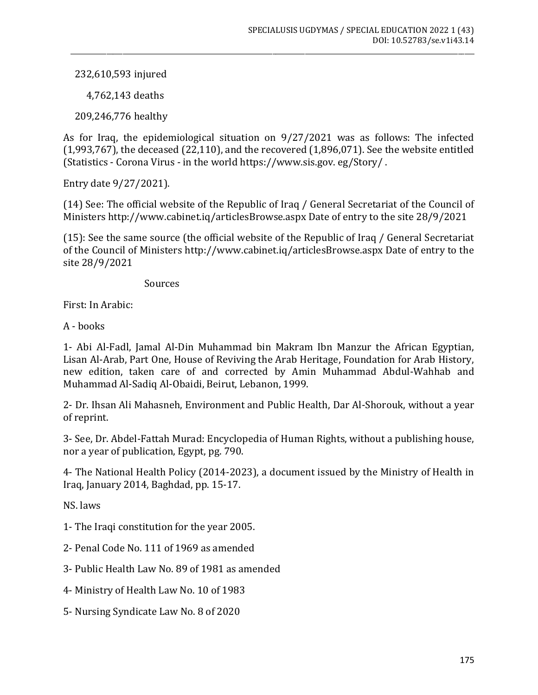232,610,593 injured

4,762,143 deaths

209,246,776 healthy

As for Iraq, the epidemiological situation on 9/27/2021 was as follows: The infected  $(1,993,767)$ , the deceased  $(22,110)$ , and the recovered  $(1,896,071)$ . See the website entitled (Statistics - Corona Virus - in the world https://www.sis.gov. eg/Story/ .

\_\_\_\_\_\_\_\_\_\_\_\_\_\_\_\_\_\_\_\_\_\_\_\_\_\_\_\_\_\_\_\_\_\_\_\_\_\_\_\_\_\_\_\_\_\_\_\_\_\_\_\_\_\_\_\_\_\_\_\_\_\_\_\_\_\_\_\_\_\_\_\_\_\_\_\_\_\_\_\_\_\_\_\_\_\_\_\_\_\_\_\_\_\_\_\_\_\_\_\_\_\_\_\_\_\_\_\_\_\_\_\_\_\_\_\_\_\_\_\_\_\_\_\_

Entry date 9/27/2021).

(14) See: The official website of the Republic of Iraq / General Secretariat of the Council of Ministers http://www.cabinet.iq/articlesBrowse.aspx Date of entry to the site 28/9/2021

(15): See the same source (the official website of the Republic of Iraq / General Secretariat of the Council of Ministers http://www.cabinet.iq/articlesBrowse.aspx Date of entry to the site 28/9/2021

**Sources** 

First: In Arabic:

A - books

1- Abi Al-Fadl, Jamal Al-Din Muhammad bin Makram Ibn Manzur the African Egyptian, Lisan Al-Arab, Part One, House of Reviving the Arab Heritage, Foundation for Arab History, new edition, taken care of and corrected by Amin Muhammad Abdul-Wahhab and Muhammad Al-Sadiq Al-Obaidi, Beirut, Lebanon, 1999.

2- Dr. Ihsan Ali Mahasneh, Environment and Public Health, Dar Al-Shorouk, without a year of reprint.

3- See, Dr. Abdel-Fattah Murad: Encyclopedia of Human Rights, without a publishing house, nor a year of publication, Egypt, pg. 790.

4- The National Health Policy (2014-2023), a document issued by the Ministry of Health in Iraq, January 2014, Baghdad, pp. 15-17.

NS. laws

- 1- The Iraqi constitution for the year 2005.
- 2- Penal Code No. 111 of 1969 as amended
- 3- Public Health Law No. 89 of 1981 as amended
- 4- Ministry of Health Law No. 10 of 1983
- 5- Nursing Syndicate Law No. 8 of 2020